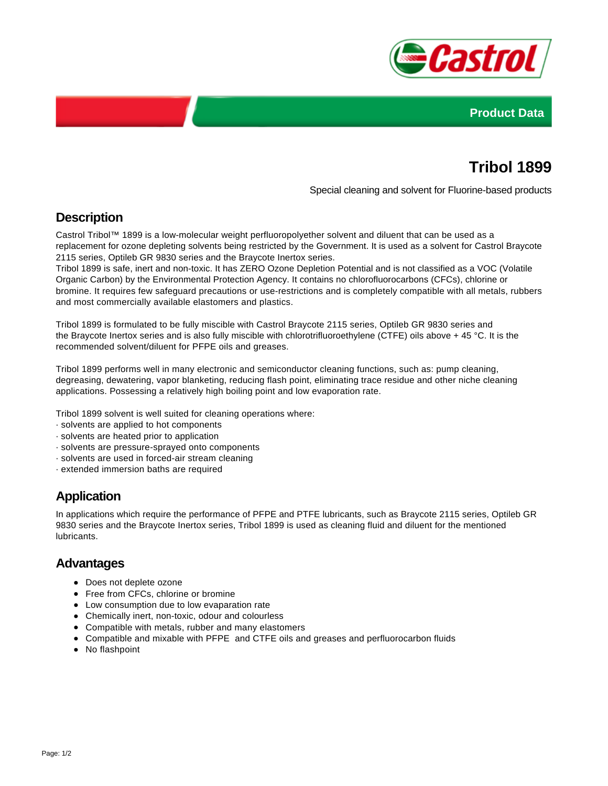



# **Tribol 1899**

Special cleaning and solvent for Fluorine-based products

# **Description**

Castrol Tribol™ 1899 is a low-molecular weight perfluoropolyether solvent and diluent that can be used as a replacement for ozone depleting solvents being restricted by the Government. It is used as a solvent for Castrol Braycote 2115 series, Optileb GR 9830 series and the Braycote Inertox series.

Tribol 1899 is safe, inert and non-toxic. It has ZERO Ozone Depletion Potential and is not classified as a VOC (Volatile Organic Carbon) by the Environmental Protection Agency. It contains no chlorofluorocarbons (CFCs), chlorine or bromine. It requires few safeguard precautions or use-restrictions and is completely compatible with all metals, rubbers and most commercially available elastomers and plastics.

Tribol 1899 is formulated to be fully miscible with Castrol Braycote 2115 series, Optileb GR 9830 series and the Braycote Inertox series and is also fully miscible with chlorotrifluoroethylene (CTFE) oils above + 45 °C. It is the recommended solvent/diluent for PFPE oils and greases.

Tribol 1899 performs well in many electronic and semiconductor cleaning functions, such as: pump cleaning, degreasing, dewatering, vapor blanketing, reducing flash point, eliminating trace residue and other niche cleaning applications. Possessing a relatively high boiling point and low evaporation rate.

Tribol 1899 solvent is well suited for cleaning operations where:

- · solvents are applied to hot components
- · solvents are heated prior to application
- · solvents are pressure-sprayed onto components
- · solvents are used in forced-air stream cleaning
- · extended immersion baths are required

### **Application**

In applications which require the performance of PFPE and PTFE lubricants, such as Braycote 2115 series, Optileb GR 9830 series and the Braycote Inertox series, Tribol 1899 is used as cleaning fluid and diluent for the mentioned lubricants.

#### **Advantages**

- Does not deplete ozone
- Free from CFCs, chlorine or bromine
- Low consumption due to low evaparation rate
- Chemically inert, non-toxic, odour and colourless
- Compatible with metals, rubber and many elastomers
- Compatible and mixable with PFPE and CTFE oils and greases and perfluorocarbon fluids
- No flashpoint